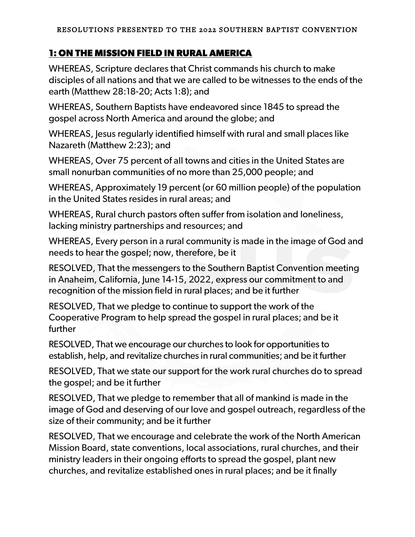## **1: ON THE MISSION FIELD IN RURAL AMERICA**

WHEREAS, Scripture declares that Christ commands his church to make disciples of all nations and that we are called to be witnesses to the ends of the earth (Matthew 28:18-20; Acts 1:8); and

WHEREAS, Southern Baptists have endeavored since 1845 to spread the gospel across North America and around the globe; and

WHEREAS, Jesus regularly identified himself with rural and small places like Nazareth (Matthew 2:23); and

WHEREAS, Over 75 percent of all towns and cities in the United States are small nonurban communities of no more than 25,000 people; and

WHEREAS, Approximately 19 percent (or 60 million people) of the population in the United States resides in rural areas; and

WHEREAS, Rural church pastors often suffer from isolation and loneliness, lacking ministry partnerships and resources; and

WHEREAS, Every person in a rural community is made in the image of God and needs to hear the gospel; now, therefore, be it

RESOLVED, That the messengers to the Southern Baptist Convention meeting in Anaheim, California, June 14-15, 2022, express our commitment to and recognition of the mission field in rural places; and be it further

RESOLVED, That we pledge to continue to support the work of the Cooperative Program to help spread the gospel in rural places; and be it further

RESOLVED, That we encourage our churches to look for opportunities to establish, help, and revitalize churches in rural communities; and be it further

RESOLVED, That we state our support for the work rural churches do to spread the gospel; and be it further

RESOLVED, That we pledge to remember that all of mankind is made in the image of God and deserving of our love and gospel outreach, regardless of the size of their community; and be it further

RESOLVED, That we encourage and celebrate the work of the North American Mission Board, state conventions, local associations, rural churches, and their ministry leaders in their ongoing efforts to spread the gospel, plant new churches, and revitalize established ones in rural places; and be it finally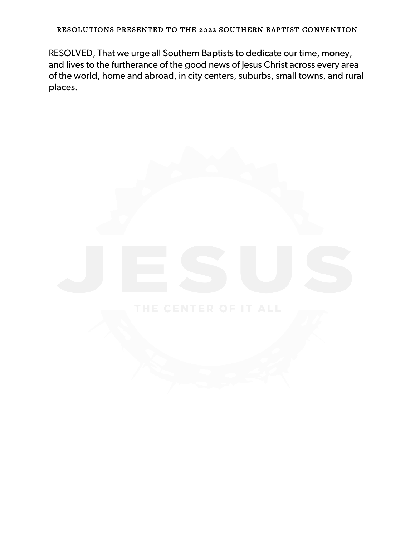RESOLVED, That we urge all Southern Baptists to dedicate our time, money, and lives to the furtherance of the good news of Jesus Christ across every area of the world, home and abroad, in city centers, suburbs, small towns, and rural places.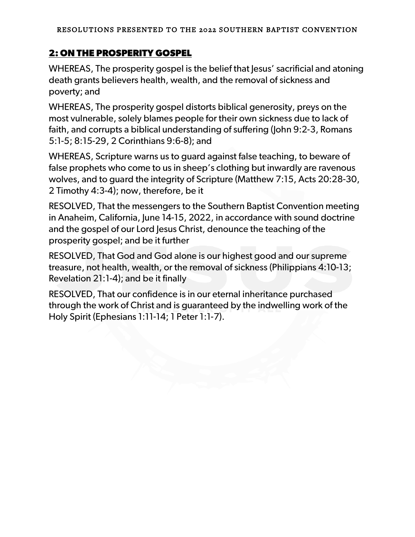# **2: ON THE PROSPERITY GOSPEL**

WHEREAS, The prosperity gospel is the belief that lesus' sacrificial and atoning death grants believers health, wealth, and the removal of sickness and poverty; and

WHEREAS, The prosperity gospel distorts biblical generosity, preys on the most vulnerable, solely blames people for their own sickness due to lack of faith, and corrupts a biblical understanding of suffering (John 9:2-3, Romans 5:1-5; 8:15-29, 2 Corinthians 9:6-8); and

WHEREAS, Scripture warns us to guard against false teaching, to beware of false prophets who come to us in sheep's clothing but inwardly are ravenous wolves, and to guard the integrity of Scripture (Matthew 7:15, Acts 20:28-30, 2 Timothy 4:3-4); now, therefore, be it

RESOLVED, That the messengers to the Southern Baptist Convention meeting in Anaheim, California, June 14-15, 2022, in accordance with sound doctrine and the gospel of our Lord Jesus Christ, denounce the teaching of the prosperity gospel; and be it further

RESOLVED, That God and God alone is our highest good and our supreme treasure, not health, wealth, or the removal of sickness (Philippians 4:10-13; Revelation 21:1-4); and be it finally

RESOLVED, That our confidence is in our eternal inheritance purchased through the work of Christ and is guaranteed by the indwelling work of the Holy Spirit (Ephesians 1:11-14; 1 Peter 1:1-7).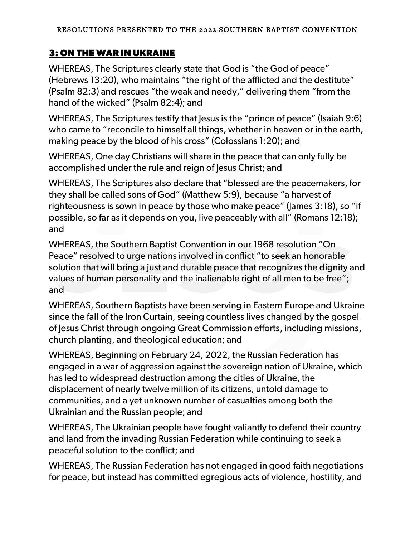# **3: ON THE WAR IN UKRAINE**

WHEREAS, The Scriptures clearly state that God is "the God of peace" (Hebrews 13:20), who maintains "the right of the afflicted and the destitute" (Psalm 82:3) and rescues "the weak and needy," delivering them "from the hand of the wicked" (Psalm 82:4); and

WHEREAS, The Scriptures testify that Jesus is the "prince of peace" (Isaiah 9:6) who came to "reconcile to himself all things, whether in heaven or in the earth, making peace by the blood of his cross" (Colossians 1:20); and

WHEREAS, One day Christians will share in the peace that can only fully be accomplished under the rule and reign of Jesus Christ; and

WHEREAS, The Scriptures also declare that "blessed are the peacemakers, for they shall be called sons of God" (Matthew 5:9), because "a harvest of righteousness is sown in peace by those who make peace" (James 3:18), so "if possible, so far as it depends on you, live peaceably with all" (Romans 12:18); and

WHEREAS, the Southern Baptist Convention in our 1968 resolution "On Peace" resolved to urge nations involved in conflict "to seek an honorable solution that will bring a just and durable peace that recognizes the dignity and values of human personality and the inalienable right of all men to be free"; and

WHEREAS, Southern Baptists have been serving in Eastern Europe and Ukraine since the fall of the Iron Curtain, seeing countless lives changed by the gospel of Jesus Christ through ongoing Great Commission efforts, including missions, church planting, and theological education; and

WHEREAS, Beginning on February 24, 2022, the Russian Federation has engaged in a war of aggression against the sovereign nation of Ukraine, which has led to widespread destruction among the cities of Ukraine, the displacement of nearly twelve million of its citizens, untold damage to communities, and a yet unknown number of casualties among both the Ukrainian and the Russian people; and

WHEREAS, The Ukrainian people have fought valiantly to defend their country and land from the invading Russian Federation while continuing to seek a peaceful solution to the conflict; and

WHEREAS, The Russian Federation has not engaged in good faith negotiations for peace, but instead has committed egregious acts of violence, hostility, and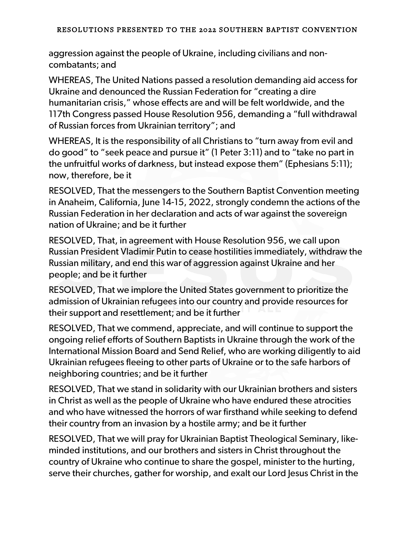aggression against the people of Ukraine, including civilians and noncombatants; and

WHEREAS, The United Nations passed a resolution demanding aid access for Ukraine and denounced the Russian Federation for "creating a dire humanitarian crisis," whose effects are and will be felt worldwide, and the 117th Congress passed House Resolution 956, demanding a "full withdrawal of Russian forces from Ukrainian territory"; and

WHEREAS, It is the responsibility of all Christians to "turn away from evil and do good" to "seek peace and pursue it" (1 Peter 3:11) and to "take no part in the unfruitful works of darkness, but instead expose them" (Ephesians 5:11); now, therefore, be it

RESOLVED, That the messengers to the Southern Baptist Convention meeting in Anaheim, California, June 14-15, 2022, strongly condemn the actions of the Russian Federation in her declaration and acts of war against the sovereign nation of Ukraine; and be it further

RESOLVED, That, in agreement with House Resolution 956, we call upon Russian President Vladimir Putin to cease hostilities immediately, withdraw the Russian military, and end this war of aggression against Ukraine and her people; and be it further

RESOLVED, That we implore the United States government to prioritize the admission of Ukrainian refugees into our country and provide resources for their support and resettlement; and be it further

RESOLVED, That we commend, appreciate, and will continue to support the ongoing relief efforts of Southern Baptists in Ukraine through the work of the International Mission Board and Send Relief, who are working diligently to aid Ukrainian refugees fleeing to other parts of Ukraine or to the safe harbors of neighboring countries; and be it further

RESOLVED, That we stand in solidarity with our Ukrainian brothers and sisters in Christ as well as the people of Ukraine who have endured these atrocities and who have witnessed the horrors of war firsthand while seeking to defend their country from an invasion by a hostile army; and be it further

RESOLVED, That we will pray for Ukrainian Baptist Theological Seminary, likeminded institutions, and our brothers and sisters in Christ throughout the country of Ukraine who continue to share the gospel, minister to the hurting, serve their churches, gather for worship, and exalt our Lord Jesus Christ in the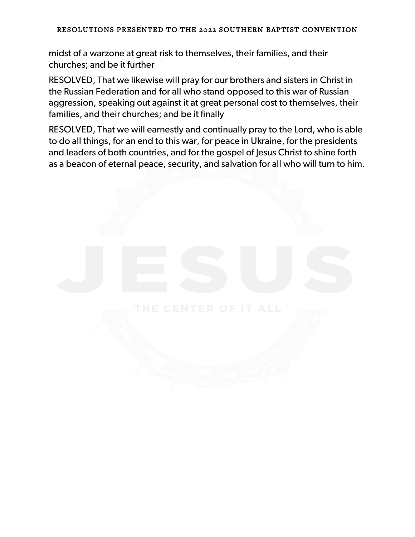midst of a warzone at great risk to themselves, their families, and their churches; and be it further

RESOLVED, That we likewise will pray for our brothers and sisters in Christ in the Russian Federation and for all who stand opposed to this war of Russian aggression, speaking out against it at great personal cost to themselves, their families, and their churches; and be it finally

RESOLVED, That we will earnestly and continually pray to the Lord, who is able to do all things, for an end to this war, for peace in Ukraine, for the presidents and leaders of both countries, and for the gospel of Jesus Christ to shine forth as a beacon of eternal peace, security, and salvation for all who will turn to him.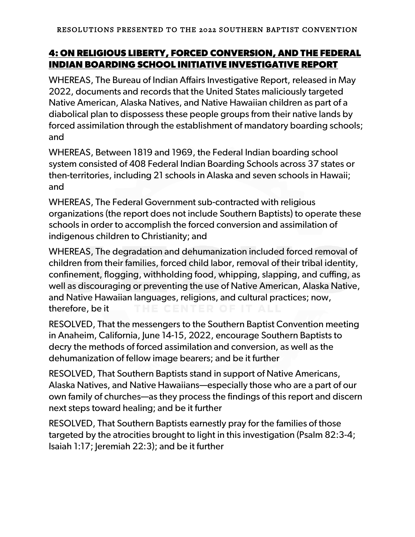# **4: ON RELIGIOUS LIBERTY, FORCED CONVERSION, AND THE FEDERAL INDIAN BOARDING SCHOOL INITIATIVE INVESTIGATIVE REPORT**

WHEREAS, The Bureau of Indian Affairs Investigative Report, released in May 2022, documents and records that the United States maliciously targeted Native American, Alaska Natives, and Native Hawaiian children as part of a diabolical plan to dispossess these people groups from their native lands by forced assimilation through the establishment of mandatory boarding schools; and

WHEREAS, Between 1819 and 1969, the Federal Indian boarding school system consisted of 408 Federal Indian Boarding Schools across 37 states or then-territories, including 21 schools in Alaska and seven schools in Hawaii; and

WHEREAS, The Federal Government sub-contracted with religious organizations (the report does not include Southern Baptists) to operate these schools in order to accomplish the forced conversion and assimilation of indigenous children to Christianity; and

WHEREAS, The degradation and dehumanization included forced removal of children from their families, forced child labor, removal of their tribal identity, confinement, flogging, withholding food, whipping, slapping, and cuffing, as well as discouraging or preventing the use of Native American, Alaska Native, and Native Hawaiian languages, religions, and cultural practices; now, therefore, be it

RESOLVED, That the messengers to the Southern Baptist Convention meeting in Anaheim, California, June 14-15, 2022, encourage Southern Baptists to decry the methods of forced assimilation and conversion, as well as the dehumanization of fellow image bearers; and be it further

RESOLVED, That Southern Baptists stand in support of Native Americans, Alaska Natives, and Native Hawaiians—especially those who are a part of our own family of churches—as they process the findings of this report and discern next steps toward healing; and be it further

RESOLVED, That Southern Baptists earnestly pray for the families of those targeted by the atrocities brought to light in this investigation (Psalm 82:3-4; Isaiah 1:17; Jeremiah 22:3); and be it further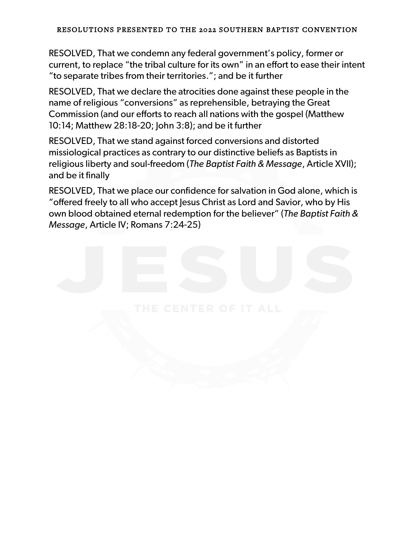RESOLVED, That we condemn any federal government's policy, former or current, to replace "the tribal culture for its own" in an effort to ease their intent "to separate tribes from their territories."; and be it further

RESOLVED, That we declare the atrocities done against these people in the name of religious "conversions" as reprehensible, betraying the Great Commission (and our efforts to reach all nations with the gospel (Matthew 10:14; Matthew 28:18-20; John 3:8); and be it further

RESOLVED, That we stand against forced conversions and distorted missiological practices as contrary to our distinctive beliefs as Baptists in religious liberty and soul-freedom (*The Baptist Faith & Message*, Article XVII); and be it finally

RESOLVED, That we place our confidence for salvation in God alone, which is "offered freely to all who accept Jesus Christ as Lord and Savior, who by His own blood obtained eternal redemption for the believer" (*The Baptist Faith & Message*, Article IV; Romans 7:24-25)

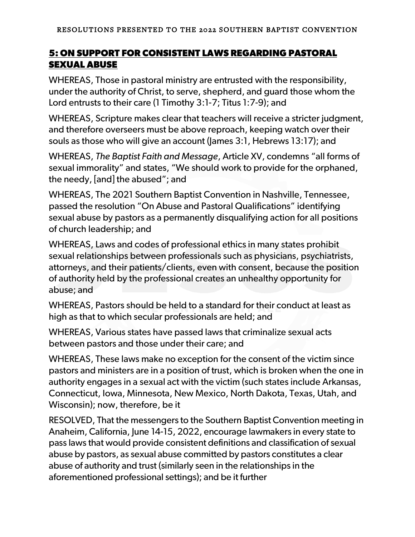# **5: ON SUPPORT FOR CONSISTENT LAWS REGARDING PASTORAL SEXUAL ABUSE**

WHEREAS, Those in pastoral ministry are entrusted with the responsibility, under the authority of Christ, to serve, shepherd, and guard those whom the Lord entrusts to their care (1 Timothy 3:1-7; Titus 1:7-9); and

WHEREAS, Scripture makes clear that teachers will receive a stricter judgment, and therefore overseers must be above reproach, keeping watch over their souls as those who will give an account (James 3:1, Hebrews 13:17); and

WHEREAS, *The Baptist Faith and Message*, Article XV, condemns "all forms of sexual immorality" and states, "We should work to provide for the orphaned, the needy, [and] the abused"; and

WHEREAS, The 2021 Southern Baptist Convention in Nashville, Tennessee, passed the resolution "On Abuse and Pastoral Qualifications" identifying sexual abuse by pastors as a permanently disqualifying action for all positions of church leadership; and

WHEREAS, Laws and codes of professional ethics in many states prohibit sexual relationships between professionals such as physicians, psychiatrists, attorneys, and their patients/clients, even with consent, because the position of authority held by the professional creates an unhealthy opportunity for abuse; and

WHEREAS, Pastors should be held to a standard for their conduct at least as high as that to which secular professionals are held; and

WHEREAS, Various states have passed laws that criminalize sexual acts between pastors and those under their care; and

WHEREAS, These laws make no exception for the consent of the victim since pastors and ministers are in a position of trust, which is broken when the one in authority engages in a sexual act with the victim (such states include Arkansas, Connecticut, Iowa, Minnesota, New Mexico, North Dakota, Texas, Utah, and Wisconsin); now, therefore, be it

RESOLVED, That the messengers to the Southern Baptist Convention meeting in Anaheim, California, June 14-15, 2022, encourage lawmakers in every state to pass laws that would provide consistent definitions and classification of sexual abuse by pastors, as sexual abuse committed by pastors constitutes a clear abuse of authority and trust (similarly seen in the relationships in the aforementioned professional settings); and be it further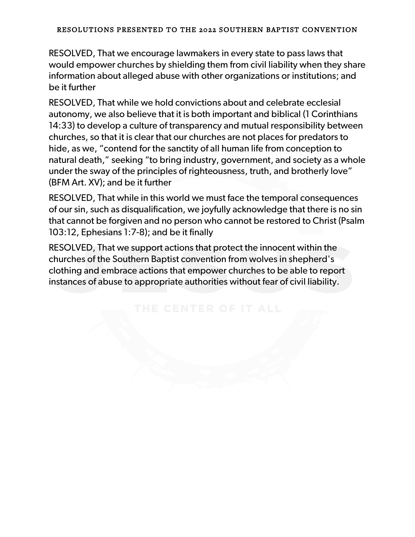RESOLVED, That we encourage lawmakers in every state to pass laws that would empower churches by shielding them from civil liability when they share information about alleged abuse with other organizations or institutions; and be it further

RESOLVED, That while we hold convictions about and celebrate ecclesial autonomy, we also believe that it is both important and biblical (1 Corinthians 14:33) to develop a culture of transparency and mutual responsibility between churches, so that it is clear that our churches are not places for predators to hide, as we, "contend for the sanctity of all human life from conception to natural death," seeking "to bring industry, government, and society as a whole under the sway of the principles of righteousness, truth, and brotherly love" (BFM Art. XV); and be it further

RESOLVED, That while in this world we must face the temporal consequences of our sin, such as disqualification, we joyfully acknowledge that there is no sin that cannot be forgiven and no person who cannot be restored to Christ (Psalm 103:12, Ephesians 1:7-8); and be it finally

RESOLVED, That we support actions that protect the innocent within the churches of the Southern Baptist convention from wolves in shepherd's clothing and embrace actions that empower churches to be able to report instances of abuse to appropriate authorities without fear of civil liability.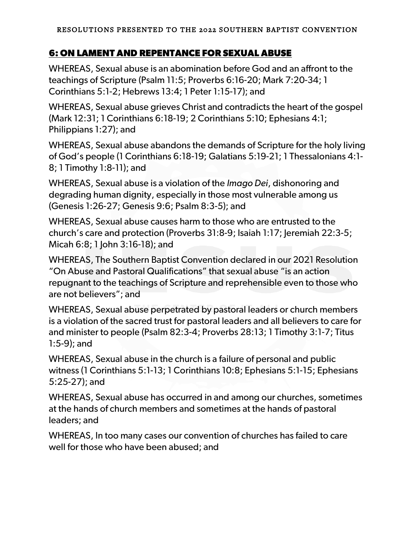# **6: ON LAMENT AND REPENTANCE FOR SEXUAL ABUSE**

WHEREAS, Sexual abuse is an abomination before God and an affront to the teachings of Scripture (Psalm 11:5; Proverbs 6:16-20; Mark 7:20-34; 1 Corinthians 5:1-2; Hebrews 13:4; 1 Peter 1:15-17); and

WHEREAS, Sexual abuse grieves Christ and contradicts the heart of the gospel (Mark 12:31; 1 Corinthians 6:18-19; 2 Corinthians 5:10; Ephesians 4:1; Philippians 1:27); and

WHEREAS, Sexual abuse abandons the demands of Scripture for the holy living of God's people (1 Corinthians 6:18-19; Galatians 5:19-21; 1 Thessalonians 4:1- 8; 1 Timothy 1:8-11); and

WHEREAS, Sexual abuse is a violation of the *Imago Dei*, dishonoring and degrading human dignity, especially in those most vulnerable among us (Genesis 1:26-27; Genesis 9:6; Psalm 8:3-5); and

WHEREAS, Sexual abuse causes harm to those who are entrusted to the church's care and protection (Proverbs 31:8-9; Isaiah 1:17; Jeremiah 22:3-5; Micah 6:8; 1 John 3:16-18); and

WHEREAS, The Southern Baptist Convention declared in our 2021 Resolution "On Abuse and Pastoral Qualifications" that sexual abuse "is an action repugnant to the teachings of Scripture and reprehensible even to those who are not believers"; and

WHEREAS, Sexual abuse perpetrated by pastoral leaders or church members is a violation of the sacred trust for pastoral leaders and all believers to care for and minister to people (Psalm 82:3-4; Proverbs 28:13; 1 Timothy 3:1-7; Titus 1:5-9); and

WHEREAS, Sexual abuse in the church is a failure of personal and public witness (1 Corinthians 5:1-13; 1 Corinthians 10:8; Ephesians 5:1-15; Ephesians 5:25-27); and

WHEREAS, Sexual abuse has occurred in and among our churches, sometimes at the hands of church members and sometimes at the hands of pastoral leaders; and

WHEREAS, In too many cases our convention of churches has failed to care well for those who have been abused; and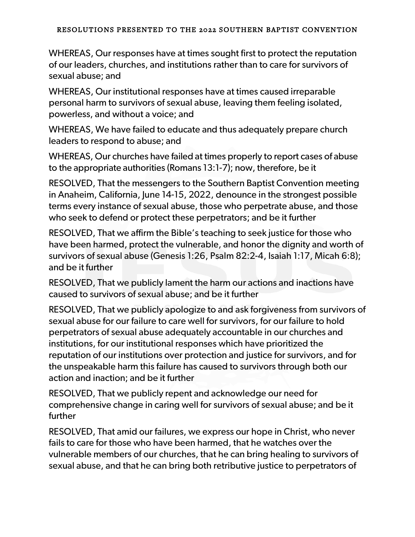WHEREAS, Our responses have at times sought first to protect the reputation of our leaders, churches, and institutions rather than to care for survivors of sexual abuse; and

WHEREAS, Our institutional responses have at times caused irreparable personal harm to survivors of sexual abuse, leaving them feeling isolated, powerless, and without a voice; and

WHEREAS, We have failed to educate and thus adequately prepare church leaders to respond to abuse; and

WHEREAS, Our churches have failed at times properly to report cases of abuse to the appropriate authorities (Romans 13:1-7); now, therefore, be it

RESOLVED, That the messengers to the Southern Baptist Convention meeting in Anaheim, California, June 14-15, 2022, denounce in the strongest possible terms every instance of sexual abuse, those who perpetrate abuse, and those who seek to defend or protect these perpetrators; and be it further

RESOLVED, That we affirm the Bible's teaching to seek justice for those who have been harmed, protect the vulnerable, and honor the dignity and worth of survivors of sexual abuse (Genesis 1:26, Psalm 82:2-4, Isaiah 1:17, Micah 6:8); and be it further

RESOLVED, That we publicly lament the harm our actions and inactions have caused to survivors of sexual abuse; and be it further

RESOLVED, That we publicly apologize to and ask forgiveness from survivors of sexual abuse for our failure to care well for survivors, for our failure to hold perpetrators of sexual abuse adequately accountable in our churches and institutions, for our institutional responses which have prioritized the reputation of our institutions over protection and justice for survivors, and for the unspeakable harm this failure has caused to survivors through both our action and inaction; and be it further

RESOLVED, That we publicly repent and acknowledge our need for comprehensive change in caring well for survivors of sexual abuse; and be it further

RESOLVED, That amid our failures, we express our hope in Christ, who never fails to care for those who have been harmed, that he watches over the vulnerable members of our churches, that he can bring healing to survivors of sexual abuse, and that he can bring both retributive justice to perpetrators of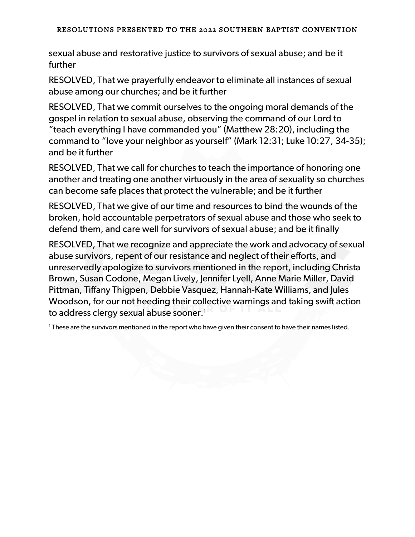sexual abuse and restorative justice to survivors of sexual abuse; and be it further

RESOLVED, That we prayerfully endeavor to eliminate all instances of sexual abuse among our churches; and be it further

RESOLVED, That we commit ourselves to the ongoing moral demands of the gospel in relation to sexual abuse, observing the command of our Lord to "teach everything I have commanded you" (Matthew 28:20), including the command to "love your neighbor as yourself" (Mark 12:31; Luke 10:27, 34-35); and be it further

RESOLVED, That we call for churches to teach the importance of honoring one another and treating one another virtuously in the area of sexuality so churches can become safe places that protect the vulnerable; and be it further

RESOLVED, That we give of our time and resources to bind the wounds of the broken, hold accountable perpetrators of sexual abuse and those who seek to defend them, and care well for survivors of sexual abuse; and be it finally

RESOLVED, That we recognize and appreciate the work and advocacy of sexual abuse survivors, repent of our resistance and neglect of their efforts, and unreservedly apologize to survivors mentioned in the report, including Christa Brown, Susan Codone, Megan Lively, Jennifer Lyell, Anne Marie Miller, David Pittman, Tiffany Thigpen, Debbie Vasquez, Hannah-Kate Williams, and Jules Woodson, for our not heeding their collective warnings and taking swift action to address clergy sexual abuse sooner.<sup>1</sup>

<sup>1</sup> These are the survivors mentioned in the report who have given their consent to have their names listed.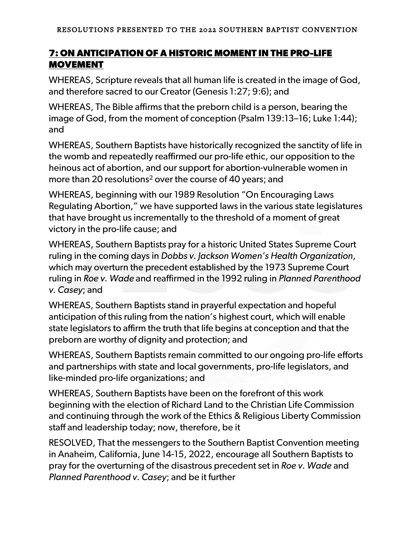# **7: ON ANTICIPATION OF A HISTORIC MOMENT IN THE PRO-LIFE MOVEMENT**

WHEREAS, Scripture reveals that all human life is created in the image of God, and therefore sacred to our Creator (Genesis 1:27; 9:6); and

WHEREAS, The Bible affirms that the preborn child is a person, bearing the image of God, from the moment of conception (Psalm 139:13–16; Luke 1:44); and

WHEREAS, Southern Baptists have historically recognized the sanctity of life in the womb and repeatedly reaffirmed our pro-life ethic, our opposition to the heinous act of abortion, and our support for abortion-vulnerable women in more than 20 resolutions<sup>2</sup> over the course of 40 years; and

WHEREAS, beginning with our 1989 Resolution "On Encouraging Laws Regulating Abortion," we have supported laws in the various state legislatures that have brought us incrementally to the threshold of a moment of great victory in the pro-life cause; and

WHEREAS, Southern Baptists pray for a historic United States Supreme Court ruling in the coming days in *Dobbs v. Jackson Women's Health Organization*, which may overturn the precedent established by the 1973 Supreme Court ruling in *Roe v. Wade* and reaffirmed in the 1992 ruling in *Planned Parenthood v. Casey*; and

WHEREAS, Southern Baptists stand in prayerful expectation and hopeful anticipation of this ruling from the nation's highest court, which will enable state legislators to affirm the truth that life begins at conception and that the preborn are worthy of dignity and protection; and

WHEREAS, Southern Baptists remain committed to our ongoing pro-life efforts and partnerships with state and local governments, pro-life legislators, and like-minded pro-life organizations; and

WHEREAS, Southern Baptists have been on the forefront of this work beginning with the election of Richard Land to the Christian Life Commission and continuing through the work of the Ethics & Religious Liberty Commission staff and leadership today; now, therefore, be it

RESOLVED, That the messengers to the Southern Baptist Convention meeting in Anaheim, California, June 14-15, 2022, encourage all Southern Baptists to pray for the overturning of the disastrous precedent set in *Roe v. Wade* and *Planned Parenthood v. Casey*; and be it further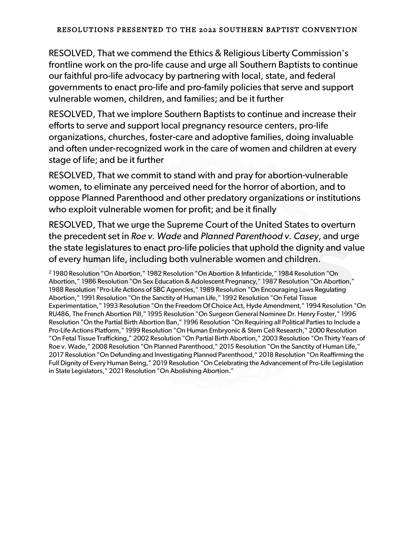RESOLVED, That we commend the Ethics & Religious Liberty Commission's frontline work on the pro-life cause and urge all Southern Baptists to continue our faithful pro-life advocacy by partnering with local, state, and federal governments to enact pro-life and pro-family policies that serve and support vulnerable women, children, and families; and be it further

RESOLVED, That we implore Southern Baptists to continue and increase their efforts to serve and support local pregnancy resource centers, pro-life organizations, churches, foster-care and adoptive families, doing invaluable and often under-recognized work in the care of women and children at every stage of life; and be it further

RESOLVED, That we commit to stand with and pray for abortion-vulnerable women, to eliminate any perceived need for the horror of abortion, and to oppose Planned Parenthood and other predatory organizations or institutions who exploit vulnerable women for profit; and be it finally

RESOLVED, That we urge the Supreme Court of the United States to overturn the precedent set in *Roe v. Wade* and *Planned Parenthood v. Casey*, and urge the state legislatures to enact pro-life policies that uphold the dignity and value of every human life, including both vulnerable women and children.

<sup>2</sup> 1980 Resolution "On Abortion," 1982 Resolution "On Abortion & Infanticide," 1984 Resolution "On Abortion," 1986 Resolution "On Sex Education & Adolescent Pregnancy," 1987 Resolution "On Abortion," 1988 Resolution "Pro-Life Actions of SBC Agencies," 1989 Resolution "On Encouraging Laws Regulating Abortion," 1991 Resolution "On the Sanctity of Human Life," 1992 Resolution "On Fetal Tissue Experimentation," 1993 Resolution "On the Freedom Of Choice Act, Hyde Amendment," 1994 Resolution "On RU486, The French Abortion Pill," 1995 Resolution "On Surgeon General Nominee Dr. Henry Foster," 1996 Resolution "On the Partial Birth Abortion Ban," 1996 Resolution "On Requiring all Political Parties to Include a Pro-Life Actions Platform," 1999 Resolution "On Human Embryonic & Stem Cell Research," 2000 Resolution "On Fetal Tissue Trafficking," 2002 Resolution "On Partial Birth Abortion," 2003 Resolution "On Thirty Years of Roe v. Wade," 2008 Resolution "On Planned Parenthood," 2015 Resolution "On the Sanctity of Human Life," 2017 Resolution "On Defunding and Investigating Planned Parenthood," 2018 Resolution "On Reaffirming the Full Dignity of Every Human Being," 2019 Resolution "On Celebrating the Advancement of Pro-Life Legislation in State Legislators," 2021 Resolution "On Abolishing Abortion."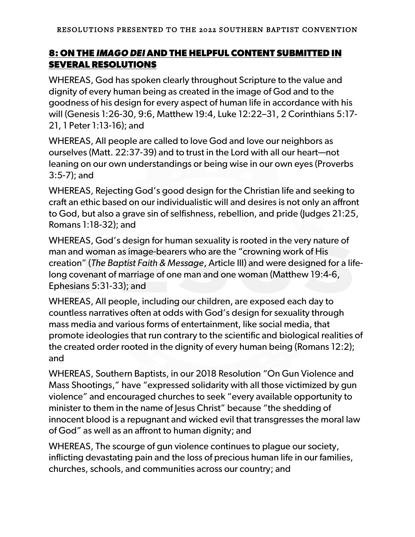# **8: ON THE** *IMAGO DEI* **AND THE HELPFUL CONTENT SUBMITTED IN SEVERAL RESOLUTIONS**

WHEREAS, God has spoken clearly throughout Scripture to the value and dignity of every human being as created in the image of God and to the goodness of his design for every aspect of human life in accordance with his will (Genesis 1:26-30, 9:6, Matthew 19:4, Luke 12:22–31, 2 Corinthians 5:17- 21, 1 Peter 1:13-16); and

WHEREAS, All people are called to love God and love our neighbors as ourselves (Matt. 22:37-39) and to trust in the Lord with all our heart—not leaning on our own understandings or being wise in our own eyes (Proverbs 3:5-7); and

WHEREAS, Rejecting God's good design for the Christian life and seeking to craft an ethic based on our individualistic will and desires is not only an affront to God, but also a grave sin of selfishness, rebellion, and pride (Judges 21:25, Romans 1:18-32); and

WHEREAS, God's design for human sexuality is rooted in the very nature of man and woman as image-bearers who are the "crowning work of His creation" (*The Baptist Faith & Message*, Article III) and were designed for a lifelong covenant of marriage of one man and one woman (Matthew 19:4-6, Ephesians 5:31-33); and

WHEREAS, All people, including our children, are exposed each day to countless narratives often at odds with God's design for sexuality through mass media and various forms of entertainment, like social media, that promote ideologies that run contrary to the scientific and biological realities of the created order rooted in the dignity of every human being (Romans 12:2); and

WHEREAS, Southern Baptists, in our 2018 Resolution "On Gun Violence and Mass Shootings," have "expressed solidarity with all those victimized by gun violence" and encouraged churches to seek "every available opportunity to minister to them in the name of Jesus Christ" because "the shedding of innocent blood is a repugnant and wicked evil that transgresses the moral law of God" as well as an affront to human dignity; and

WHEREAS, The scourge of gun violence continues to plague our society, inflicting devastating pain and the loss of precious human life in our families, churches, schools, and communities across our country; and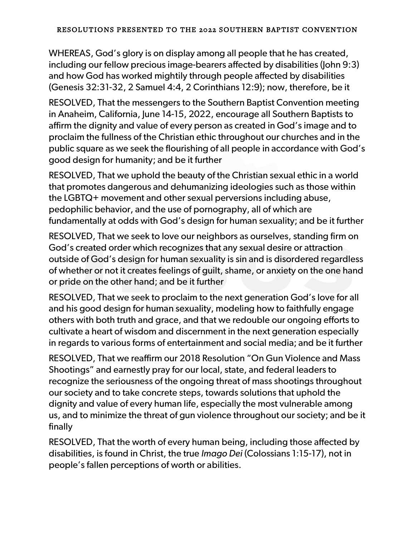WHEREAS, God's glory is on display among all people that he has created, including our fellow precious image-bearers affected by disabilities (John 9:3) and how God has worked mightily through people affected by disabilities (Genesis 32:31-32, 2 Samuel 4:4, 2 Corinthians 12:9); now, therefore, be it

RESOLVED, That the messengers to the Southern Baptist Convention meeting in Anaheim, California, June 14-15, 2022, encourage all Southern Baptists to affirm the dignity and value of every person as created in God's image and to proclaim the fullness of the Christian ethic throughout our churches and in the public square as we seek the flourishing of all people in accordance with God's good design for humanity; and be it further

RESOLVED, That we uphold the beauty of the Christian sexual ethic in a world that promotes dangerous and dehumanizing ideologies such as those within the LGBTQ+ movement and other sexual perversions including abuse, pedophilic behavior, and the use of pornography, all of which are fundamentally at odds with God's design for human sexuality; and be it further

RESOLVED, That we seek to love our neighbors as ourselves, standing firm on God's created order which recognizes that any sexual desire or attraction outside of God's design for human sexuality is sin and is disordered regardless of whether or not it creates feelings of guilt, shame, or anxiety on the one hand or pride on the other hand; and be it further

RESOLVED, That we seek to proclaim to the next generation God's love for all and his good design for human sexuality, modeling how to faithfully engage others with both truth and grace, and that we redouble our ongoing efforts to cultivate a heart of wisdom and discernment in the next generation especially in regards to various forms of entertainment and social media; and be it further

RESOLVED, That we reaffirm our 2018 Resolution "On Gun Violence and Mass Shootings" and earnestly pray for our local, state, and federal leaders to recognize the seriousness of the ongoing threat of mass shootings throughout our society and to take concrete steps, towards solutions that uphold the dignity and value of every human life, especially the most vulnerable among us, and to minimize the threat of gun violence throughout our society; and be it finally

RESOLVED, That the worth of every human being, including those affected by disabilities, is found in Christ, the true *Imago Dei* (Colossians 1:15-17), not in people's fallen perceptions of worth or abilities.